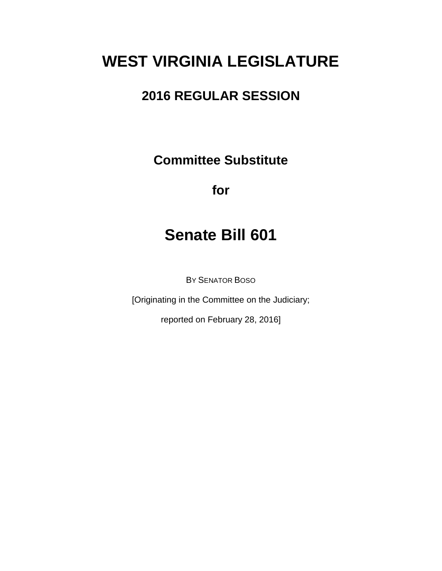# **WEST VIRGINIA LEGISLATURE**

## **2016 REGULAR SESSION**

**Committee Substitute**

**for**

## **Senate Bill 601**

BY SENATOR BOSO

[Originating in the Committee on the Judiciary;

reported on February 28, 2016]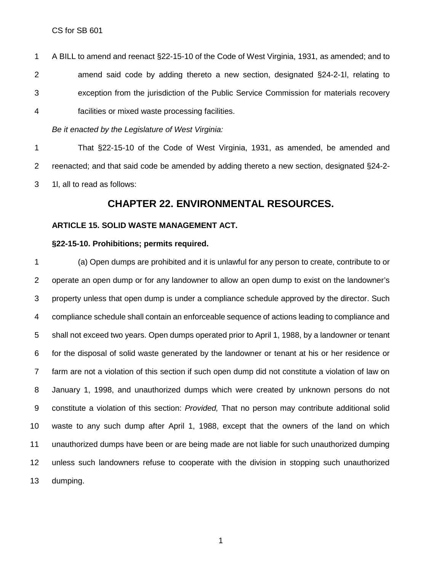A BILL to amend and reenact §22-15-10 of the Code of West Virginia, 1931, as amended; and to amend said code by adding thereto a new section, designated §24-2-1l, relating to exception from the jurisdiction of the Public Service Commission for materials recovery facilities or mixed waste processing facilities.

*Be it enacted by the Legislature of West Virginia:*

 That §22-15-10 of the Code of West Virginia, 1931, as amended, be amended and reenacted; and that said code be amended by adding thereto a new section, designated §24-2- 1l, all to read as follows:

### **CHAPTER 22. ENVIRONMENTAL RESOURCES.**

#### **ARTICLE 15. SOLID WASTE MANAGEMENT ACT.**

#### **§22-15-10. Prohibitions; permits required.**

 (a) Open dumps are prohibited and it is unlawful for any person to create, contribute to or operate an open dump or for any landowner to allow an open dump to exist on the landowner's property unless that open dump is under a compliance schedule approved by the director. Such compliance schedule shall contain an enforceable sequence of actions leading to compliance and shall not exceed two years. Open dumps operated prior to April 1, 1988, by a landowner or tenant for the disposal of solid waste generated by the landowner or tenant at his or her residence or farm are not a violation of this section if such open dump did not constitute a violation of law on January 1, 1998, and unauthorized dumps which were created by unknown persons do not constitute a violation of this section: *Provided,* That no person may contribute additional solid waste to any such dump after April 1, 1988, except that the owners of the land on which unauthorized dumps have been or are being made are not liable for such unauthorized dumping unless such landowners refuse to cooperate with the division in stopping such unauthorized dumping.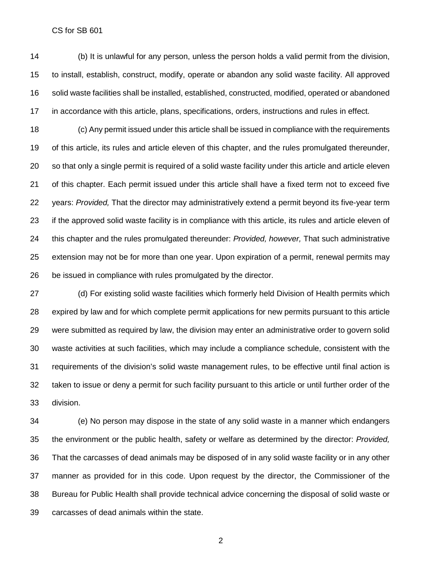CS for SB 601

 (b) It is unlawful for any person, unless the person holds a valid permit from the division, to install, establish, construct, modify, operate or abandon any solid waste facility. All approved solid waste facilities shall be installed, established, constructed, modified, operated or abandoned in accordance with this article, plans, specifications, orders, instructions and rules in effect.

 (c) Any permit issued under this article shall be issued in compliance with the requirements of this article, its rules and article eleven of this chapter, and the rules promulgated thereunder, so that only a single permit is required of a solid waste facility under this article and article eleven of this chapter. Each permit issued under this article shall have a fixed term not to exceed five years: *Provided,* That the director may administratively extend a permit beyond its five-year term if the approved solid waste facility is in compliance with this article, its rules and article eleven of this chapter and the rules promulgated thereunder: *Provided, however,* That such administrative extension may not be for more than one year. Upon expiration of a permit, renewal permits may be issued in compliance with rules promulgated by the director.

 (d) For existing solid waste facilities which formerly held Division of Health permits which expired by law and for which complete permit applications for new permits pursuant to this article were submitted as required by law, the division may enter an administrative order to govern solid waste activities at such facilities, which may include a compliance schedule, consistent with the requirements of the division's solid waste management rules, to be effective until final action is taken to issue or deny a permit for such facility pursuant to this article or until further order of the division.

 (e) No person may dispose in the state of any solid waste in a manner which endangers the environment or the public health, safety or welfare as determined by the director: *Provided,* That the carcasses of dead animals may be disposed of in any solid waste facility or in any other manner as provided for in this code. Upon request by the director, the Commissioner of the Bureau for Public Health shall provide technical advice concerning the disposal of solid waste or carcasses of dead animals within the state.